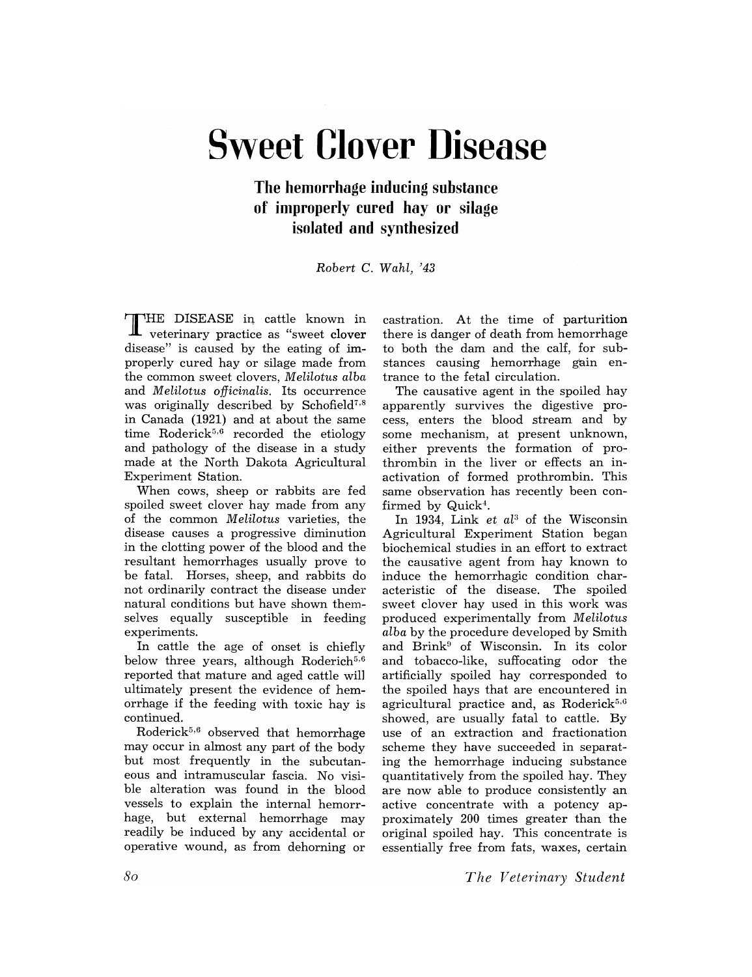## **Sweet Clover Disease**

## **The hemorrhage inducing substance of improperly cured hay or silage i80lated and 8ynthe8ized**

*Robert* C. *Wahl,* '43

THE DISEASE in cattle known in veterinary practice as "sweet clover disease" is caused by the eating of improperly cured hay or silage made from the common sweet clovers, *Melilotus alba*  and *Melilotus officinalis*. Its occurrence was originally described by Schofield $7.8$ in Canada (1921) and at about the same time Roderick<sup>5,6</sup> recorded the etiology and pathology of the disease in a study made at the North Dakota Agricultural Experiment Station.

When cows, sheep or rabbits are fed spoiled sweet clover hay made from any of the common *Melilotus* varieties, the disease causes a progressive diminution in the clotting power of the blood and the resultant hemorrhages usually prove to be fatal. Horses, sheep, and rabbits do not ordinarily contract the disease under natural conditions but have shown themselves equally susceptible in feeding experiments.

In cattle the age of onset is chiefly below three years, although Roderich $5.6$ reported that mature and aged cattle will ultimately present the evidence of hemorrhage if the feeding with toxic hay is continued.

Roderick $5,6$  observed that hemorrhage may occur in almost any part of the body but most frequently in the subcutaneous and intramuscular fascia. No visible alteration was found in the blood vessels to explain the internal hemorrhage, but external hemorrhage may readily be induced by any accidental or operative wound, as from dehorning or

castration. At the time of parturition there is danger of death from hemorrhage to both the dam and the calf, for substances causing hemorrhage gain entrance to the fetal circulation.

The causative agent in the spoiled hay apparently survives the digestive process, enters the blood stream and by some mechanism, at present unknown, either prevents the formation of prothrombin in the liver or effects an inactivation of formed prothrombin. This same observation has recently been confirmed by  $Quick<sup>4</sup>$ .

In 1934, Link et al<sup>3</sup> of the Wisconsin Agricultural Experiment Station began biochemical studies in an effort to extract the causative agent from hay known to induce the hemorrhagic condition characteristic of the disease. The spoiled sweet clover hay used in this work was produced experimentally from *Melilotus alba* by the procedure developed by Smith and Brink<sup>9</sup> of Wisconsin. In its color and tobacco-like, suffocating odor the artificially spoiled hay corresponded to the spoiled hays that are encountered in agricultural practice and, as Roderick<sup>5,6</sup> showed, are usually fatal to cattle. By use of an extraction and fractionation scheme they have succeeded in separating the hemorrhage inducing substance quantitatively from the spoiled hay. They are now able to produce consistently an active concentrate with a potency approximately 200 times greater than the original spoiled hay. This concentrate is essentially free from fats, waxes, certain

*The Veterinary Student*